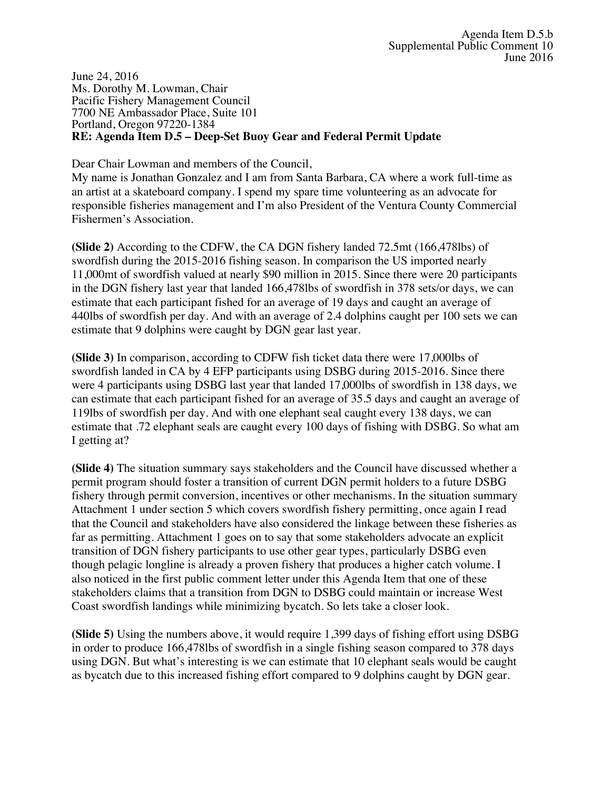June 24, 2016 Ms. Dorothy M. Lowman, Chair Pacific Fishery Management Council 7700 NE Ambassador Place, Suite 101 Portland, Oregon 97220-1384 **RE: Agenda Item D.5 – Deep-Set Buoy Gear and Federal Permit Update**

Dear Chair Lowman and members of the Council,

My name is Jonathan Gonzalez and I am from Santa Barbara, CA where a work full-time as an artist at a skateboard company. I spend my spare time volunteering as an advocate for responsible fisheries management and I'm also President of the Ventura County Commercial Fishermen's Association.

**(Slide 2)** According to the CDFW, the CA DGN fishery landed 72.5mt (166,478lbs) of swordfish during the 2015-2016 fishing season. In comparison the US imported nearly 11,000mt of swordfish valued at nearly \$90 million in 2015. Since there were 20 participants in the DGN fishery last year that landed 166,478lbs of swordfish in 378 sets/or days, we can estimate that each participant fished for an average of 19 days and caught an average of 440lbs of swordfish per day. And with an average of 2.4 dolphins caught per 100 sets we can estimate that 9 dolphins were caught by DGN gear last year.

**(Slide 3)** In comparison, according to CDFW fish ticket data there were 17,000lbs of swordfish landed in CA by 4 EFP participants using DSBG during 2015-2016. Since there were 4 participants using DSBG last year that landed 17,000lbs of swordfish in 138 days, we can estimate that each participant fished for an average of 35.5 days and caught an average of 119lbs of swordfish per day. And with one elephant seal caught every 138 days, we can estimate that .72 elephant seals are caught every 100 days of fishing with DSBG. So what am I getting at?

**(Slide 4)** The situation summary says stakeholders and the Council have discussed whether a permit program should foster a transition of current DGN permit holders to a future DSBG fishery through permit conversion, incentives or other mechanisms. In the situation summary Attachment 1 under section 5 which covers swordfish fishery permitting, once again I read that the Council and stakeholders have also considered the linkage between these fisheries as far as permitting. Attachment 1 goes on to say that some stakeholders advocate an explicit transition of DGN fishery participants to use other gear types, particularly DSBG even though pelagic longline is already a proven fishery that produces a higher catch volume. I also noticed in the first public comment letter under this Agenda Item that one of these stakeholders claims that a transition from DGN to DSBG could maintain or increase West Coast swordfish landings while minimizing bycatch. So lets take a closer look.

**(Slide 5)** Using the numbers above, it would require 1,399 days of fishing effort using DSBG in order to produce 166,478lbs of swordfish in a single fishing season compared to 378 days using DGN. But what's interesting is we can estimate that 10 elephant seals would be caught as bycatch due to this increased fishing effort compared to 9 dolphins caught by DGN gear.